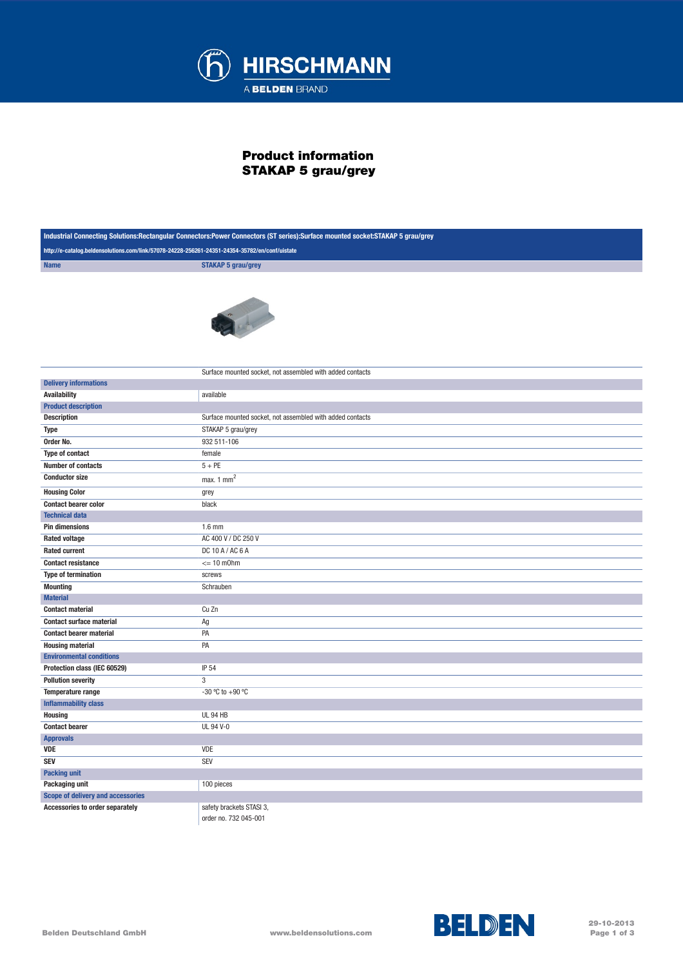

## Product information STAKAP 5 grau/grey

| Industrial Connecting Solutions:Rectangular Connectors:Power Connectors (ST series):Surface mounted socket:STAKAP 5 grau/grey |                                                           |
|-------------------------------------------------------------------------------------------------------------------------------|-----------------------------------------------------------|
| http://e-catalog.beldensolutions.com/link/57078-24228-256261-24351-24354-35782/en/conf/uistate                                |                                                           |
| <b>Name</b>                                                                                                                   | <b>STAKAP 5 grau/grey</b>                                 |
|                                                                                                                               |                                                           |
|                                                                                                                               | Surface mounted socket, not assembled with added contacts |
| <b>Delivery informations</b>                                                                                                  |                                                           |
| <b>Availability</b>                                                                                                           | available                                                 |
| <b>Product description</b>                                                                                                    |                                                           |
| <b>Description</b>                                                                                                            | Surface mounted socket, not assembled with added contacts |
| <b>Type</b>                                                                                                                   | STAKAP 5 grau/grey                                        |
| Order No.                                                                                                                     | 932 511-106                                               |
| <b>Type of contact</b>                                                                                                        | female                                                    |
| <b>Number of contacts</b>                                                                                                     | $5 + PE$                                                  |
| <b>Conductor size</b>                                                                                                         | max. $1 \text{ mm}^2$                                     |
| <b>Housing Color</b>                                                                                                          | grey                                                      |
| <b>Contact bearer color</b>                                                                                                   | black                                                     |
| <b>Technical data</b>                                                                                                         |                                                           |
| <b>Pin dimensions</b>                                                                                                         | $1.6$ mm                                                  |
| <b>Rated voltage</b>                                                                                                          | AC 400 V / DC 250 V                                       |
| <b>Rated current</b>                                                                                                          | DC 10 A / AC 6 A                                          |
| <b>Contact resistance</b>                                                                                                     | $\leq$ 10 m0hm                                            |
| <b>Type of termination</b>                                                                                                    | screws                                                    |
| <b>Mounting</b>                                                                                                               | Schrauben                                                 |
| <b>Material</b>                                                                                                               |                                                           |
| <b>Contact material</b>                                                                                                       | Cu Zn                                                     |
| <b>Contact surface material</b>                                                                                               | Ag                                                        |
| <b>Contact bearer material</b>                                                                                                | PA                                                        |
| <b>Housing material</b>                                                                                                       | PA                                                        |
| <b>Environmental conditions</b>                                                                                               |                                                           |
| Protection class (IEC 60529)                                                                                                  | IP 54                                                     |
| <b>Pollution severity</b>                                                                                                     | 3                                                         |
| Temperature range                                                                                                             | -30 °C to +90 °C                                          |
| <b>Inflammability class</b>                                                                                                   |                                                           |
| <b>Housing</b>                                                                                                                | <b>UL 94 HB</b>                                           |
| <b>Contact bearer</b>                                                                                                         | <b>UL 94 V-0</b>                                          |
| <b>Approvals</b>                                                                                                              |                                                           |
| VDE                                                                                                                           | VDE                                                       |
| <b>SEV</b>                                                                                                                    | SEV                                                       |
| <b>Packing unit</b>                                                                                                           |                                                           |
| Packaging unit                                                                                                                | 100 pieces                                                |
| <b>Scope of delivery and accessories</b>                                                                                      |                                                           |
| Accessories to order separately                                                                                               | safety brackets STASI 3,                                  |

order no. 732 045-001





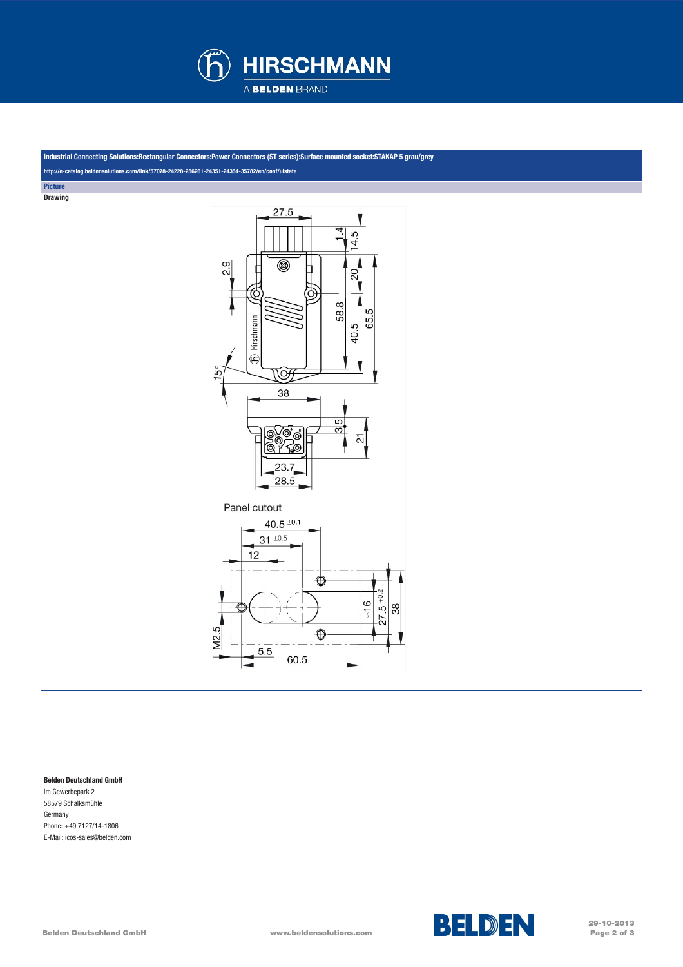

Industrial Connecting Solutions:Rectangular Connectors:Power Connectors (ST series):Surface mounted socket:STAKAP 5 grau/grey

<http://e-catalog.beldensolutions.com/link/57078-24228-256261-24351-24354-35782/en/conf/uistate>

**Picture** Drawing



## Belden Deutschland GmbH

Im Gewerbepark 2 58579 Schalksmühle Germany Phone: +49 7127/14-1806 E-Mail: icos-sales@belden.com